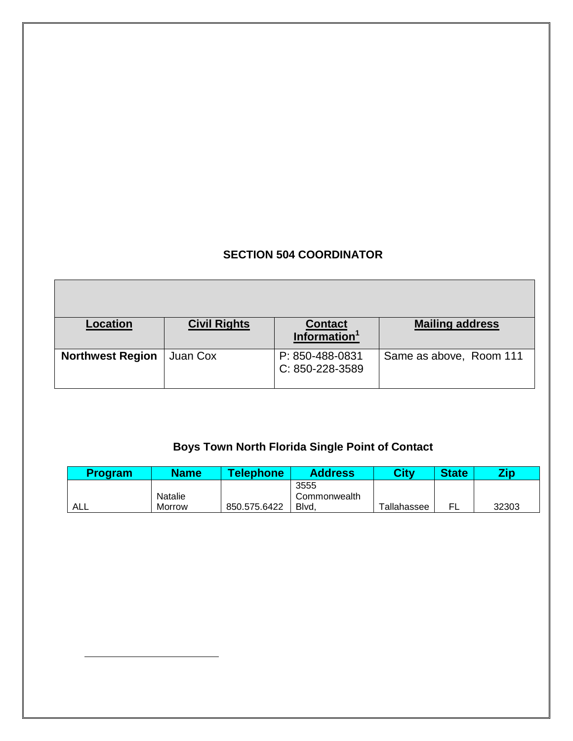### **SECTION 504 COORDINATOR**

| <b>Location</b>         | <b>Civil Rights</b> | <b>Contact</b><br>Information <sup>1</sup> | <b>Mailing address</b>  |
|-------------------------|---------------------|--------------------------------------------|-------------------------|
| <b>Northwest Region</b> | Juan Cox            | P: 850-488-0831<br>C: 850-228-3589         | Same as above, Room 111 |

## **Boys Town North Florida Single Point of Contact**

| <b>Program</b> | <b>Name</b>    | <b>Telephone</b> | <b>Address</b> | Citv        | <b>State</b> | $\nabla$ |
|----------------|----------------|------------------|----------------|-------------|--------------|----------|
|                |                |                  | 3555           |             |              |          |
|                | <b>Natalie</b> |                  | Commonwealth   |             |              |          |
| ALL            | Morrow         | 850.575.6422     | Blvd.          | Tallahassee |              | 32303    |

 $\overline{a}$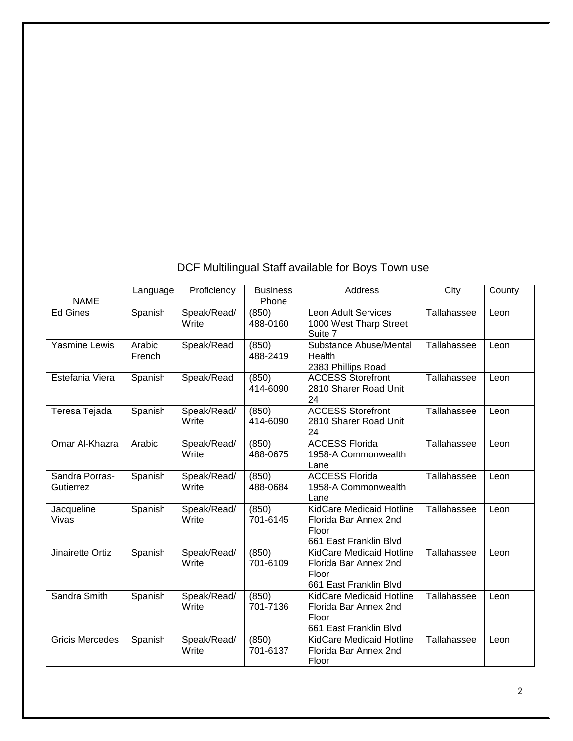# DCF Multilingual Staff available for Boys Town use

| <b>NAME</b>                 | Language         | Proficiency          | <b>Business</b><br>Phone | Address                                                                                            | City        | County |
|-----------------------------|------------------|----------------------|--------------------------|----------------------------------------------------------------------------------------------------|-------------|--------|
| <b>Ed Gines</b>             | Spanish          | Speak/Read/<br>Write | (850)<br>488-0160        | Leon Adult Services<br>1000 West Tharp Street<br>Suite 7                                           | Tallahassee | Leon   |
| <b>Yasmine Lewis</b>        | Arabic<br>French | Speak/Read           | (850)<br>488-2419        | Substance Abuse/Mental<br>Health<br>2383 Phillips Road                                             | Tallahassee | Leon   |
| Estefania Viera             | Spanish          | Speak/Read           | (850)<br>414-6090        | <b>ACCESS Storefront</b><br>2810 Sharer Road Unit<br>24                                            | Tallahassee | Leon   |
| Teresa Tejada               | Spanish          | Speak/Read/<br>Write | (850)<br>414-6090        | <b>ACCESS Storefront</b><br>2810 Sharer Road Unit<br>24                                            | Tallahassee | Leon   |
| Omar Al-Khazra              | Arabic           | Speak/Read/<br>Write | (850)<br>488-0675        | <b>ACCESS Florida</b><br>1958-A Commonwealth<br>Lane                                               | Tallahassee | Leon   |
| Sandra Porras-<br>Gutierrez | Spanish          | Speak/Read/<br>Write | (850)<br>488-0684        | <b>ACCESS Florida</b><br>1958-A Commonwealth<br>Lane                                               | Tallahassee | Leon   |
| Jacqueline<br>Vivas         | Spanish          | Speak/Read/<br>Write | (850)<br>701-6145        | <b>KidCare Medicaid Hotline</b><br>Florida Bar Annex 2nd<br><b>Floor</b><br>661 East Franklin Blvd | Tallahassee | Leon   |
| Jinairette Ortiz            | Spanish          | Speak/Read/<br>Write | (850)<br>701-6109        | KidCare Medicaid Hotline<br>Florida Bar Annex 2nd<br>Floor<br>661 East Franklin Blvd               | Tallahassee | Leon   |
| Sandra Smith                | Spanish          | Speak/Read/<br>Write | (850)<br>701-7136        | KidCare Medicaid Hotline<br>Florida Bar Annex 2nd<br>Floor<br>661 East Franklin Blvd               | Tallahassee | Leon   |
| <b>Gricis Mercedes</b>      | Spanish          | Speak/Read/<br>Write | (850)<br>701-6137        | KidCare Medicaid Hotline<br>Florida Bar Annex 2nd<br>Floor                                         | Tallahassee | Leon   |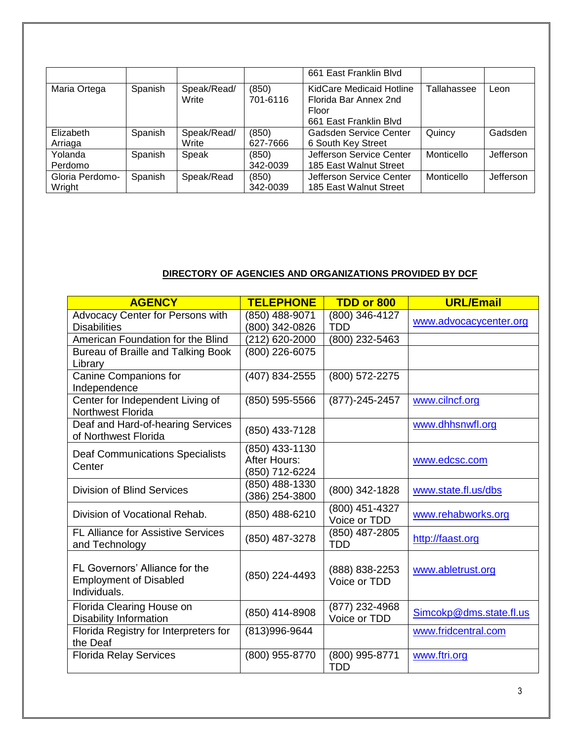|                           |         |                      |                   | 661 East Franklin Blvd                                                               |             |           |
|---------------------------|---------|----------------------|-------------------|--------------------------------------------------------------------------------------|-------------|-----------|
| Maria Ortega              | Spanish | Speak/Read/<br>Write | (850)<br>701-6116 | KidCare Medicaid Hotline<br>Florida Bar Annex 2nd<br>Floor<br>661 East Franklin Blvd | Tallahassee | Leon      |
| Elizabeth                 | Spanish | Speak/Read/          | (850)             | Gadsden Service Center                                                               | Quincy      | Gadsden   |
| Arriaga                   |         | Write                | 627-7666          | 6 South Key Street                                                                   |             |           |
| Yolanda                   | Spanish | Speak                | (850)             | Jefferson Service Center                                                             | Monticello  | Jefferson |
| Perdomo                   |         |                      | 342-0039          | 185 East Walnut Street                                                               |             |           |
| Gloria Perdomo-<br>Wright | Spanish | Speak/Read           | (850)<br>342-0039 | Jefferson Service Center<br>185 East Walnut Street                                   | Monticello  | Jefferson |

#### **DIRECTORY OF AGENCIES AND ORGANIZATIONS PROVIDED BY DCF**

| <b>AGENCY</b>                          | <b>TELEPHONE</b> | TDD or 800     | <b>URL/Email</b>        |
|----------------------------------------|------------------|----------------|-------------------------|
| Advocacy Center for Persons with       | (850) 488-9071   | (800) 346-4127 | www.advocacycenter.org  |
| <b>Disabilities</b>                    | (800) 342-0826   | <b>TDD</b>     |                         |
| American Foundation for the Blind      | (212) 620-2000   | (800) 232-5463 |                         |
| Bureau of Braille and Talking Book     | (800) 226-6075   |                |                         |
| Library                                |                  |                |                         |
| <b>Canine Companions for</b>           | (407) 834-2555   | (800) 572-2275 |                         |
| Independence                           |                  |                |                         |
| Center for Independent Living of       | (850) 595-5566   | (877)-245-2457 | www.cilncf.org          |
| Northwest Florida                      |                  |                |                         |
| Deaf and Hard-of-hearing Services      | (850) 433-7128   |                | www.dhhsnwfl.org        |
| of Northwest Florida                   |                  |                |                         |
| <b>Deaf Communications Specialists</b> | (850) 433-1130   |                |                         |
| Center                                 | After Hours:     |                | www.edcsc.com           |
|                                        | (850) 712-6224   |                |                         |
| <b>Division of Blind Services</b>      | (850) 488-1330   | (800) 342-1828 | www.state.fl.us/dbs     |
|                                        | 386) 254-3800    |                |                         |
| Division of Vocational Rehab.          | (850) 488-6210   | (800) 451-4327 | www.rehabworks.org      |
|                                        |                  | Voice or TDD   |                         |
| FL Alliance for Assistive Services     | (850) 487-3278   | (850) 487-2805 | http://faast.org        |
| and Technology                         |                  | <b>TDD</b>     |                         |
|                                        |                  |                |                         |
| FL Governors' Alliance for the         | (850) 224-4493   | (888) 838-2253 | www.abletrust.org       |
| <b>Employment of Disabled</b>          |                  | Voice or TDD   |                         |
| Individuals.                           |                  |                |                         |
| Florida Clearing House on              | (850) 414-8908   | (877) 232-4968 | Simcokp@dms.state.fl.us |
| <b>Disability Information</b>          |                  | Voice or TDD   |                         |
| Florida Registry for Interpreters for  | (813)996-9644    |                | www.fridcentral.com     |
| the Deaf                               |                  |                |                         |
| <b>Florida Relay Services</b>          | (800) 955-8770   | (800) 995-8771 | www.ftri.org            |
|                                        |                  | <b>TDD</b>     |                         |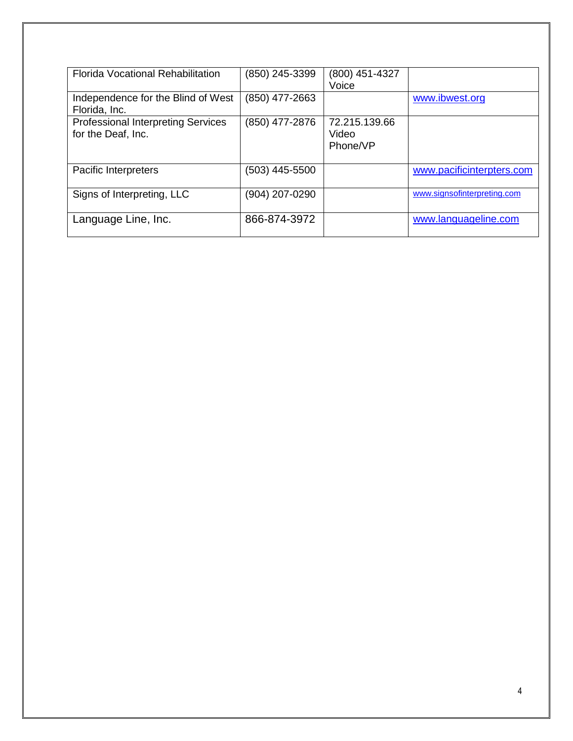| <b>Florida Vocational Rehabilitation</b>                        | (850) 245-3399   | (800) 451-4327<br>Voice            |                             |
|-----------------------------------------------------------------|------------------|------------------------------------|-----------------------------|
| Independence for the Blind of West<br>Florida, Inc.             | $(850)$ 477-2663 |                                    | www.ibwest.org              |
| <b>Professional Interpreting Services</b><br>for the Deaf, Inc. | (850) 477-2876   | 72.215.139.66<br>Video<br>Phone/VP |                             |
| Pacific Interpreters                                            | (503) 445-5500   |                                    | www.pacificinterpters.com   |
| Signs of Interpreting, LLC                                      | (904) 207-0290   |                                    | www.signsofinterpreting.com |
| Language Line, Inc.                                             | 866-874-3972     |                                    | www.languageline.com        |